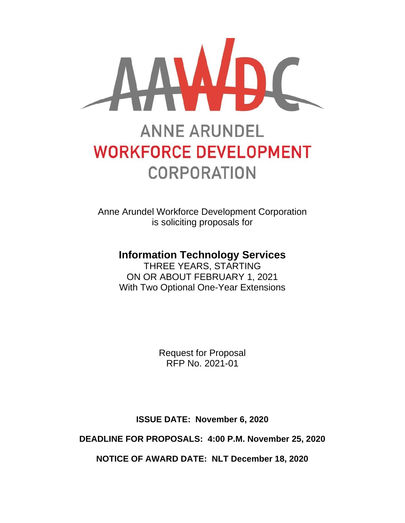

# **ANNE ARUNDEL WORKFORCE DEVELOPMENT CORPORATION**

Anne Arundel Workforce Development Corporation is soliciting proposals for

# **Information Technology Services**

THREE YEARS, STARTING ON OR ABOUT FEBRUARY 1, 2021 With Two Optional One-Year Extensions

> Request for Proposal RFP No. 2021-01

**ISSUE DATE: November 6, 2020**

**DEADLINE FOR PROPOSALS: 4:00 P.M. November 25, 2020**

**NOTICE OF AWARD DATE: NLT December 18, 2020**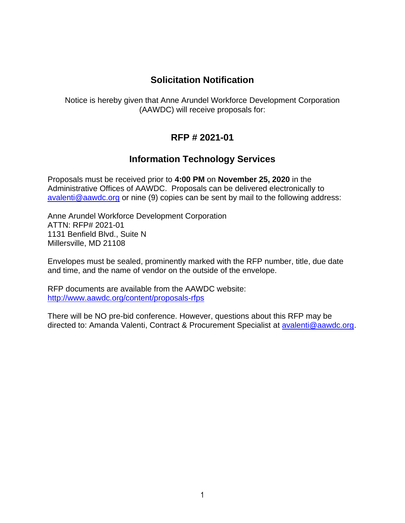## **Solicitation Notification**

Notice is hereby given that Anne Arundel Workforce Development Corporation (AAWDC) will receive proposals for:

# **RFP # 2021-01**

# **Information Technology Services**

Proposals must be received prior to **4:00 PM** on **November 25, 2020** in the Administrative Offices of AAWDC. Proposals can be delivered electronically to [avalenti@aawdc.org](mailto:avalenti@aawdc.org) or nine (9) copies can be sent by mail to the following address:

Anne Arundel Workforce Development Corporation ATTN: RFP# 2021-01 1131 Benfield Blvd., Suite N Millersville, MD 21108

Envelopes must be sealed, prominently marked with the RFP number, title, due date and time, and the name of vendor on the outside of the envelope.

RFP documents are available from the AAWDC website: <http://www.aawdc.org/content/proposals-rfps>

There will be NO pre-bid conference. However, questions about this RFP may be directed to: Amanda Valenti, Contract & Procurement Specialist at [avalenti@aawdc.org.](mailto:avalenti@aawdc.org)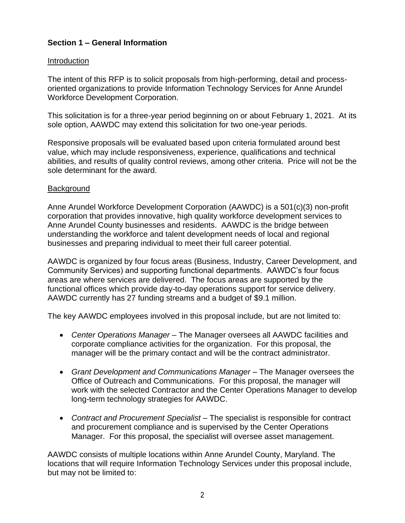#### **Section 1 – General Information**

#### **Introduction**

The intent of this RFP is to solicit proposals from high-performing, detail and processoriented organizations to provide Information Technology Services for Anne Arundel Workforce Development Corporation.

This solicitation is for a three-year period beginning on or about February 1, 2021. At its sole option, AAWDC may extend this solicitation for two one-year periods.

Responsive proposals will be evaluated based upon criteria formulated around best value, which may include responsiveness, experience, qualifications and technical abilities, and results of quality control reviews, among other criteria. Price will not be the sole determinant for the award.

#### **Background**

Anne Arundel Workforce Development Corporation (AAWDC) is a 501(c)(3) non-profit corporation that provides innovative, high quality workforce development services to Anne Arundel County businesses and residents. AAWDC is the bridge between understanding the workforce and talent development needs of local and regional businesses and preparing individual to meet their full career potential.

AAWDC is organized by four focus areas (Business, Industry, Career Development, and Community Services) and supporting functional departments. AAWDC's four focus areas are where services are delivered. The focus areas are supported by the functional offices which provide day-to-day operations support for service delivery. AAWDC currently has 27 funding streams and a budget of \$9.1 million.

The key AAWDC employees involved in this proposal include, but are not limited to:

- *Center Operations Manager* The Manager oversees all AAWDC facilities and corporate compliance activities for the organization. For this proposal, the manager will be the primary contact and will be the contract administrator.
- *Grant Development and Communications Manager* The Manager oversees the Office of Outreach and Communications. For this proposal, the manager will work with the selected Contractor and the Center Operations Manager to develop long-term technology strategies for AAWDC.
- *Contract and Procurement Specialist* The specialist is responsible for contract and procurement compliance and is supervised by the Center Operations Manager. For this proposal, the specialist will oversee asset management.

AAWDC consists of multiple locations within Anne Arundel County, Maryland. The locations that will require Information Technology Services under this proposal include, but may not be limited to: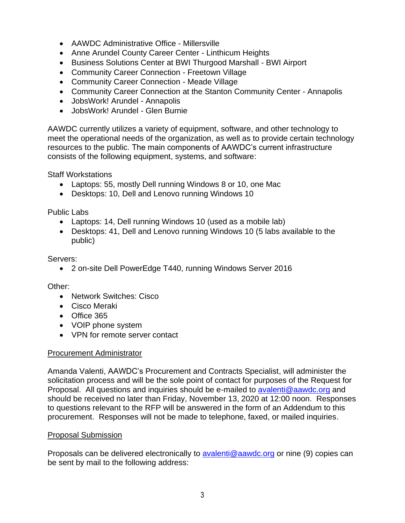- AAWDC Administrative Office Millersville
- Anne Arundel County Career Center Linthicum Heights
- Business Solutions Center at BWI Thurgood Marshall BWI Airport
- Community Career Connection Freetown Village
- Community Career Connection Meade Village
- Community Career Connection at the Stanton Community Center Annapolis
- JobsWork! Arundel Annapolis
- JobsWork! Arundel Glen Burnie

AAWDC currently utilizes a variety of equipment, software, and other technology to meet the operational needs of the organization, as well as to provide certain technology resources to the public. The main components of AAWDC's current infrastructure consists of the following equipment, systems, and software:

Staff Workstations

- Laptops: 55, mostly Dell running Windows 8 or 10, one Mac
- Desktops: 10, Dell and Lenovo running Windows 10

Public Labs

- Laptops: 14, Dell running Windows 10 (used as a mobile lab)
- Desktops: 41, Dell and Lenovo running Windows 10 (5 labs available to the public)

Servers:

• 2 on-site Dell PowerEdge T440, running Windows Server 2016

Other:

- Network Switches: Cisco
- Cisco Meraki
- Office 365
- VOIP phone system
- VPN for remote server contact

#### Procurement Administrator

Amanda Valenti, AAWDC's Procurement and Contracts Specialist, will administer the solicitation process and will be the sole point of contact for purposes of the Request for Proposal. All questions and inquiries should be e-mailed to [avalenti@aawdc.org](mailto:avalenti@aawdc.org) and should be received no later than Friday, November 13, 2020 at 12:00 noon. Responses to questions relevant to the RFP will be answered in the form of an Addendum to this procurement. Responses will not be made to telephone, faxed, or mailed inquiries.

#### Proposal Submission

Proposals can be delivered electronically to **avalenti@aawdc.org** or nine (9) copies can be sent by mail to the following address: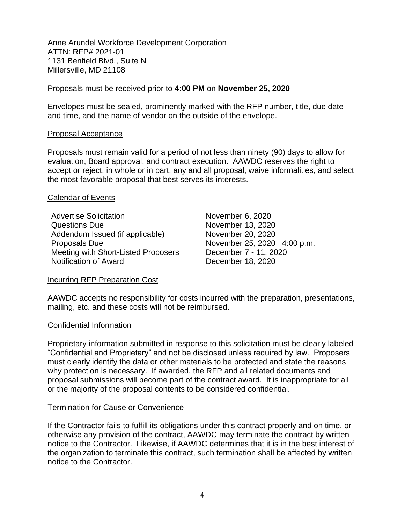Anne Arundel Workforce Development Corporation ATTN: RFP# 2021-01 1131 Benfield Blvd., Suite N Millersville, MD 21108

Proposals must be received prior to **4:00 PM** on **November 25, 2020**

Envelopes must be sealed, prominently marked with the RFP number, title, due date and time, and the name of vendor on the outside of the envelope.

#### Proposal Acceptance

Proposals must remain valid for a period of not less than ninety (90) days to allow for evaluation, Board approval, and contract execution. AAWDC reserves the right to accept or reject, in whole or in part, any and all proposal, waive informalities, and select the most favorable proposal that best serves its interests.

#### Calendar of Events

Advertise Solicitation November 6, 2020 Questions Due **November 13, 2020** Addendum Issued (if applicable) November 20, 2020 Proposals Due November 25, 2020 4:00 p.m. Meeting with Short-Listed Proposers December 7 - 11, 2020 Notification of Award December 18, 2020

#### Incurring RFP Preparation Cost

AAWDC accepts no responsibility for costs incurred with the preparation, presentations, mailing, etc. and these costs will not be reimbursed.

#### Confidential Information

Proprietary information submitted in response to this solicitation must be clearly labeled "Confidential and Proprietary" and not be disclosed unless required by law. Proposers must clearly identify the data or other materials to be protected and state the reasons why protection is necessary. If awarded, the RFP and all related documents and proposal submissions will become part of the contract award. It is inappropriate for all or the majority of the proposal contents to be considered confidential.

#### Termination for Cause or Convenience

If the Contractor fails to fulfill its obligations under this contract properly and on time, or otherwise any provision of the contract, AAWDC may terminate the contract by written notice to the Contractor. Likewise, if AAWDC determines that it is in the best interest of the organization to terminate this contract, such termination shall be affected by written notice to the Contractor.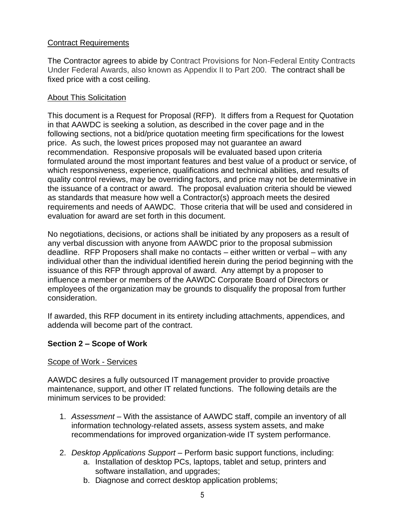#### Contract Requirements

The Contractor agrees to abide by Contract Provisions for Non-Federal Entity Contracts Under Federal Awards, also known as Appendix II to Part 200. The contract shall be fixed price with a cost ceiling.

#### About This Solicitation

This document is a Request for Proposal (RFP). It differs from a Request for Quotation in that AAWDC is seeking a solution, as described in the cover page and in the following sections, not a bid/price quotation meeting firm specifications for the lowest price. As such, the lowest prices proposed may not guarantee an award recommendation. Responsive proposals will be evaluated based upon criteria formulated around the most important features and best value of a product or service, of which responsiveness, experience, qualifications and technical abilities, and results of quality control reviews, may be overriding factors, and price may not be determinative in the issuance of a contract or award. The proposal evaluation criteria should be viewed as standards that measure how well a Contractor(s) approach meets the desired requirements and needs of AAWDC. Those criteria that will be used and considered in evaluation for award are set forth in this document.

No negotiations, decisions, or actions shall be initiated by any proposers as a result of any verbal discussion with anyone from AAWDC prior to the proposal submission deadline. RFP Proposers shall make no contacts – either written or verbal – with any individual other than the individual identified herein during the period beginning with the issuance of this RFP through approval of award. Any attempt by a proposer to influence a member or members of the AAWDC Corporate Board of Directors or employees of the organization may be grounds to disqualify the proposal from further consideration.

If awarded, this RFP document in its entirety including attachments, appendices, and addenda will become part of the contract.

#### **Section 2 – Scope of Work**

#### Scope of Work - Services

AAWDC desires a fully outsourced IT management provider to provide proactive maintenance, support, and other IT related functions. The following details are the minimum services to be provided:

- 1. *Assessment* With the assistance of AAWDC staff, compile an inventory of all information technology-related assets, assess system assets, and make recommendations for improved organization-wide IT system performance.
- 2. *Desktop Applications Support* Perform basic support functions, including:
	- a. Installation of desktop PCs, laptops, tablet and setup, printers and software installation, and upgrades;
	- b. Diagnose and correct desktop application problems;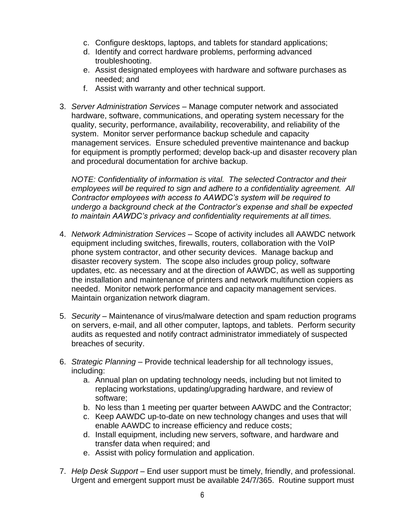- c. Configure desktops, laptops, and tablets for standard applications;
- d. Identify and correct hardware problems, performing advanced troubleshooting.
- e. Assist designated employees with hardware and software purchases as needed; and
- f. Assist with warranty and other technical support.
- 3. *Server Administration Services* Manage computer network and associated hardware, software, communications, and operating system necessary for the quality, security, performance, availability, recoverability, and reliability of the system. Monitor server performance backup schedule and capacity management services. Ensure scheduled preventive maintenance and backup for equipment is promptly performed; develop back-up and disaster recovery plan and procedural documentation for archive backup.

*NOTE: Confidentiality of information is vital. The selected Contractor and their employees will be required to sign and adhere to a confidentiality agreement. All Contractor employees with access to AAWDC's system will be required to undergo a background check at the Contractor's expense and shall be expected to maintain AAWDC's privacy and confidentiality requirements at all times.*

- 4. *Network Administration Services* Scope of activity includes all AAWDC network equipment including switches, firewalls, routers, collaboration with the VoIP phone system contractor, and other security devices. Manage backup and disaster recovery system. The scope also includes group policy, software updates, etc. as necessary and at the direction of AAWDC, as well as supporting the installation and maintenance of printers and network multifunction copiers as needed. Monitor network performance and capacity management services. Maintain organization network diagram.
- 5. *Security* Maintenance of virus/malware detection and spam reduction programs on servers, e-mail, and all other computer, laptops, and tablets. Perform security audits as requested and notify contract administrator immediately of suspected breaches of security.
- 6. *Strategic Planning* Provide technical leadership for all technology issues, including:
	- a. Annual plan on updating technology needs, including but not limited to replacing workstations, updating/upgrading hardware, and review of software;
	- b. No less than 1 meeting per quarter between AAWDC and the Contractor;
	- c. Keep AAWDC up-to-date on new technology changes and uses that will enable AAWDC to increase efficiency and reduce costs;
	- d. Install equipment, including new servers, software, and hardware and transfer data when required; and
	- e. Assist with policy formulation and application.
- 7. *Help Desk Support* End user support must be timely, friendly, and professional. Urgent and emergent support must be available 24/7/365. Routine support must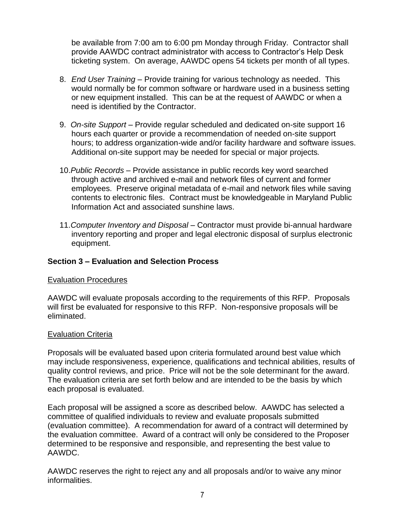be available from 7:00 am to 6:00 pm Monday through Friday. Contractor shall provide AAWDC contract administrator with access to Contractor's Help Desk ticketing system. On average, AAWDC opens 54 tickets per month of all types.

- 8. *End User Training* Provide training for various technology as needed. This would normally be for common software or hardware used in a business setting or new equipment installed. This can be at the request of AAWDC or when a need is identified by the Contractor.
- 9. *On-site Support* Provide regular scheduled and dedicated on-site support 16 hours each quarter or provide a recommendation of needed on-site support hours; to address organization-wide and/or facility hardware and software issues. Additional on-site support may be needed for special or major projects*.*
- 10.*Public Records* Provide assistance in public records key word searched through active and archived e-mail and network files of current and former employees. Preserve original metadata of e-mail and network files while saving contents to electronic files. Contract must be knowledgeable in Maryland Public Information Act and associated sunshine laws.
- 11.*Computer Inventory and Disposal* Contractor must provide bi-annual hardware inventory reporting and proper and legal electronic disposal of surplus electronic equipment.

#### **Section 3 – Evaluation and Selection Process**

#### Evaluation Procedures

AAWDC will evaluate proposals according to the requirements of this RFP. Proposals will first be evaluated for responsive to this RFP. Non-responsive proposals will be eliminated.

#### Evaluation Criteria

Proposals will be evaluated based upon criteria formulated around best value which may include responsiveness, experience, qualifications and technical abilities, results of quality control reviews, and price. Price will not be the sole determinant for the award. The evaluation criteria are set forth below and are intended to be the basis by which each proposal is evaluated.

Each proposal will be assigned a score as described below. AAWDC has selected a committee of qualified individuals to review and evaluate proposals submitted (evaluation committee). A recommendation for award of a contract will determined by the evaluation committee. Award of a contract will only be considered to the Proposer determined to be responsive and responsible, and representing the best value to AAWDC.

AAWDC reserves the right to reject any and all proposals and/or to waive any minor informalities.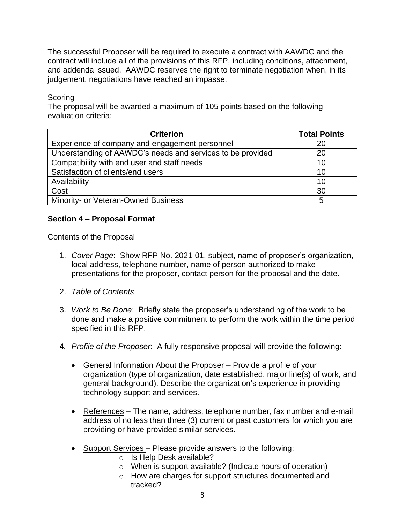The successful Proposer will be required to execute a contract with AAWDC and the contract will include all of the provisions of this RFP, including conditions, attachment, and addenda issued. AAWDC reserves the right to terminate negotiation when, in its judgement, negotiations have reached an impasse.

#### **Scoring**

The proposal will be awarded a maximum of 105 points based on the following evaluation criteria:

| <b>Criterion</b>                                           | <b>Total Points</b> |
|------------------------------------------------------------|---------------------|
| Experience of company and engagement personnel             | 20                  |
| Understanding of AAWDC's needs and services to be provided | 20                  |
| Compatibility with end user and staff needs                | 10                  |
| Satisfaction of clients/end users                          | 10                  |
| Availability                                               | 10                  |
| Cost                                                       | 30                  |
| Minority- or Veteran-Owned Business                        | 5                   |

#### **Section 4 – Proposal Format**

#### Contents of the Proposal

- 1. *Cover Page*: Show RFP No. 2021-01, subject, name of proposer's organization, local address, telephone number, name of person authorized to make presentations for the proposer, contact person for the proposal and the date.
- 2. *Table of Contents*
- 3. *Work to Be Done*: Briefly state the proposer's understanding of the work to be done and make a positive commitment to perform the work within the time period specified in this RFP.
- 4*. Profile of the Proposer*: A fully responsive proposal will provide the following:
	- General Information About the Proposer Provide a profile of your organization (type of organization, date established, major line(s) of work, and general background). Describe the organization's experience in providing technology support and services.
	- References The name, address, telephone number, fax number and e-mail address of no less than three (3) current or past customers for which you are providing or have provided similar services.
	- Support Services Please provide answers to the following:
		- o Is Help Desk available?
		- o When is support available? (Indicate hours of operation)
		- o How are charges for support structures documented and tracked?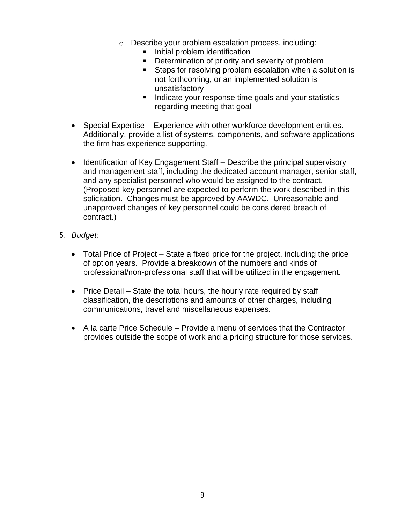- o Describe your problem escalation process, including:
	- **·** Initial problem identification
	- Determination of priority and severity of problem
	- **EXECTS** for resolving problem escalation when a solution is not forthcoming, or an implemented solution is unsatisfactory
	- Indicate your response time goals and your statistics regarding meeting that goal
- Special Expertise Experience with other workforce development entities. Additionally, provide a list of systems, components, and software applications the firm has experience supporting.
- Identification of Key Engagement Staff Describe the principal supervisory and management staff, including the dedicated account manager, senior staff, and any specialist personnel who would be assigned to the contract. (Proposed key personnel are expected to perform the work described in this solicitation. Changes must be approved by AAWDC. Unreasonable and unapproved changes of key personnel could be considered breach of contract.)
- 5. *Budget:*
	- Total Price of Project State a fixed price for the project, including the price of option years. Provide a breakdown of the numbers and kinds of professional/non-professional staff that will be utilized in the engagement.
	- Price Detail State the total hours, the hourly rate required by staff classification, the descriptions and amounts of other charges, including communications, travel and miscellaneous expenses.
	- A la carte Price Schedule Provide a menu of services that the Contractor provides outside the scope of work and a pricing structure for those services.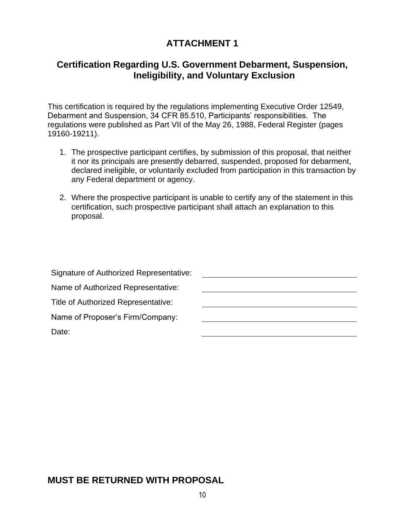# **ATTACHMENT 1**

## **Certification Regarding U.S. Government Debarment, Suspension, Ineligibility, and Voluntary Exclusion**

This certification is required by the regulations implementing Executive Order 12549, Debarment and Suspension, 34 CFR 85.510, Participants' responsibilities. The regulations were published as Part VII of the May 26, 1988, Federal Register (pages 19160-19211).

- 1. The prospective participant certifies, by submission of this proposal, that neither it nor its principals are presently debarred, suspended, proposed for debarment, declared ineligible, or voluntarily excluded from participation in this transaction by any Federal department or agency.
- 2. Where the prospective participant is unable to certify any of the statement in this certification, such prospective participant shall attach an explanation to this proposal.

## **MUST BE RETURNED WITH PROPOSAL**